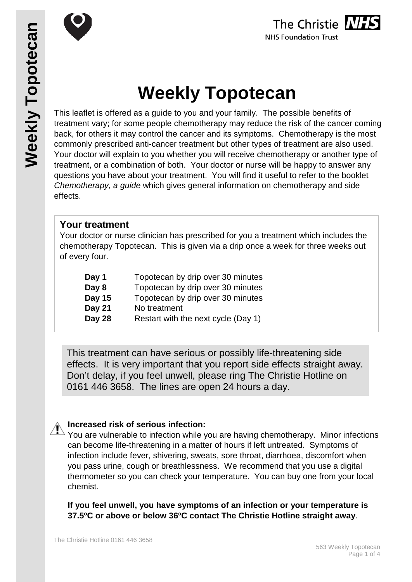



# **Weekly Topotecan**

This leaflet is offered as a guide to you and your family. The possible benefits of treatment vary; for some people chemotherapy may reduce the risk of the cancer coming back, for others it may control the cancer and its symptoms. Chemotherapy is the most commonly prescribed anti-cancer treatment but other types of treatment are also used. Your doctor will explain to you whether you will receive chemotherapy or another type of treatment, or a combination of both. Your doctor or nurse will be happy to answer any questions you have about your treatment. You will find it useful to refer to the booklet *Chemotherapy, a guide* which gives general information on chemotherapy and side effects.

## **Your treatment**

Your doctor or nurse clinician has prescribed for you a treatment which includes the chemotherapy Topotecan. This is given via a drip once a week for three weeks out of every four.

| Day 1         | Topotecan by drip over 30 minutes   |
|---------------|-------------------------------------|
| Day 8         | Topotecan by drip over 30 minutes   |
| <b>Day 15</b> | Topotecan by drip over 30 minutes   |
| Day 21        | No treatment                        |
| Day 28        | Restart with the next cycle (Day 1) |

This treatment can have serious or possibly life-threatening side effects. It is very important that you report side effects straight away. Don't delay, if you feel unwell, please ring The Christie Hotline on 0161 446 3658. The lines are open 24 hours a day.

#### **Increased risk of serious infection:**

You are vulnerable to infection while you are having chemotherapy. Minor infections can become life-threatening in a matter of hours if left untreated. Symptoms of infection include fever, shivering, sweats, sore throat, diarrhoea, discomfort when you pass urine, cough or breathlessness. We recommend that you use a digital thermometer so you can check your temperature. You can buy one from your local chemist.

**If you feel unwell, you have symptoms of an infection or your temperature is 37.5ºC or above or below 36ºC contact The Christie Hotline straight away**.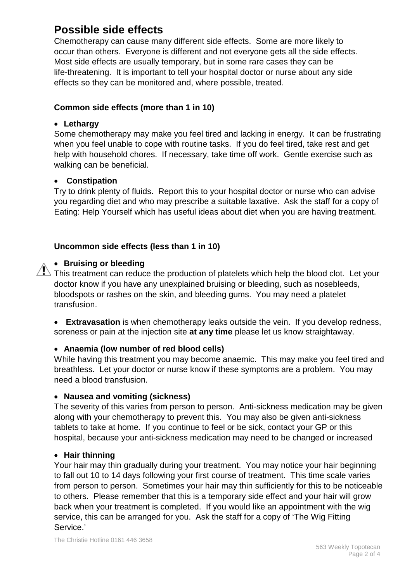# **Possible side effects**

Chemotherapy can cause many different side effects. Some are more likely to occur than others. Everyone is different and not everyone gets all the side effects. Most side effects are usually temporary, but in some rare cases they can be life-threatening. It is important to tell your hospital doctor or nurse about any side effects so they can be monitored and, where possible, treated.

#### **Common side effects (more than 1 in 10)**

#### • **Lethargy**

Some chemotherapy may make you feel tired and lacking in energy. It can be frustrating when you feel unable to cope with routine tasks. If you do feel tired, take rest and get help with household chores. If necessary, take time off work. Gentle exercise such as walking can be beneficial.

#### • **Constipation**

Try to drink plenty of fluids. Report this to your hospital doctor or nurse who can advise you regarding diet and who may prescribe a suitable laxative. Ask the staff for a copy of Eating: Help Yourself which has useful ideas about diet when you are having treatment.

## **Uncommon side effects (less than 1 in 10)**

#### • **Bruising or bleeding**

 $\sqrt{!}$  This treatment can reduce the production of platelets which help the blood clot. Let your doctor know if you have any unexplained bruising or bleeding, such as nosebleeds, bloodspots or rashes on the skin, and bleeding gums. You may need a platelet transfusion.

• **Extravasation** is when chemotherapy leaks outside the vein. If you develop redness, soreness or pain at the injection site **at any time** please let us know straightaway.

## • **Anaemia (low number of red blood cells)**

While having this treatment you may become anaemic. This may make you feel tired and breathless. Let your doctor or nurse know if these symptoms are a problem. You may need a blood transfusion.

#### • **Nausea and vomiting (sickness)**

The severity of this varies from person to person. Anti-sickness medication may be given along with your chemotherapy to prevent this. You may also be given anti-sickness tablets to take at home. If you continue to feel or be sick, contact your GP or this hospital, because your anti-sickness medication may need to be changed or increased

#### • **Hair thinning**

Your hair may thin gradually during your treatment. You may notice your hair beginning to fall out 10 to 14 days following your first course of treatment. This time scale varies from person to person. Sometimes your hair may thin sufficiently for this to be noticeable to others. Please remember that this is a temporary side effect and your hair will grow back when your treatment is completed. If you would like an appointment with the wig service, this can be arranged for you. Ask the staff for a copy of 'The Wig Fitting Service.'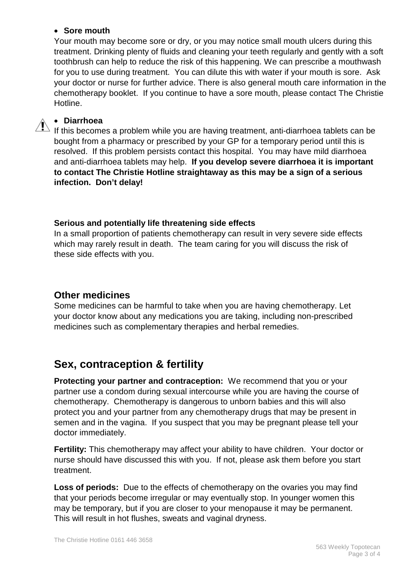#### • **Sore mouth**

Your mouth may become sore or dry, or you may notice small mouth ulcers during this treatment. Drinking plenty of fluids and cleaning your teeth regularly and gently with a soft toothbrush can help to reduce the risk of this happening. We can prescribe a mouthwash for you to use during treatment. You can dilute this with water if your mouth is sore. Ask your doctor or nurse for further advice. There is also general mouth care information in the chemotherapy booklet. If you continue to have a sore mouth, please contact The Christie Hotline.

#### • **Diarrhoea**

If this becomes a problem while you are having treatment, anti-diarrhoea tablets can be bought from a pharmacy or prescribed by your GP for a temporary period until this is resolved. If this problem persists contact this hospital. You may have mild diarrhoea and anti-diarrhoea tablets may help. **If you develop severe diarrhoea it is important to contact The Christie Hotline straightaway as this may be a sign of a serious infection. Don't delay!**

#### **Serious and potentially life threatening side effects**

In a small proportion of patients chemotherapy can result in very severe side effects which may rarely result in death. The team caring for you will discuss the risk of these side effects with you.

## **Other medicines**

Some medicines can be harmful to take when you are having chemotherapy. Let your doctor know about any medications you are taking, including non-prescribed medicines such as complementary therapies and herbal remedies.

# **Sex, contraception & fertility**

**Protecting your partner and contraception:** We recommend that you or your partner use a condom during sexual intercourse while you are having the course of chemotherapy. Chemotherapy is dangerous to unborn babies and this will also protect you and your partner from any chemotherapy drugs that may be present in semen and in the vagina. If you suspect that you may be pregnant please tell your doctor immediately.

**Fertility:** This chemotherapy may affect your ability to have children. Your doctor or nurse should have discussed this with you. If not, please ask them before you start treatment.

**Loss of periods:** Due to the effects of chemotherapy on the ovaries you may find that your periods become irregular or may eventually stop. In younger women this may be temporary, but if you are closer to your menopause it may be permanent. This will result in hot flushes, sweats and vaginal dryness.